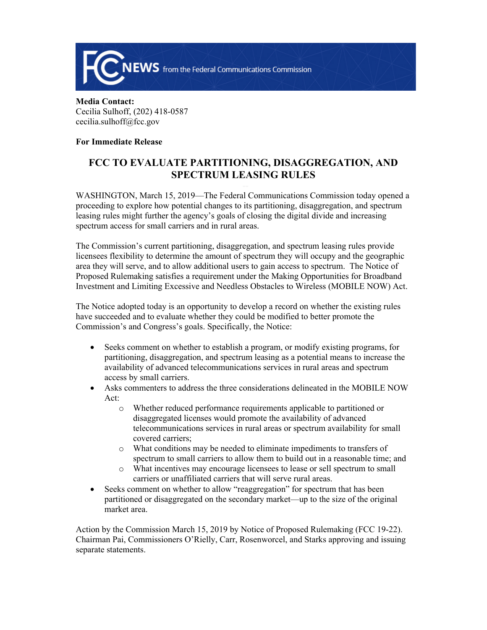

**Media Contact:**  Cecilia Sulhoff, (202) 418-0587 cecilia.sulhoff@fcc.gov

## **For Immediate Release**

## **FCC TO EVALUATE PARTITIONING, DISAGGREGATION, AND SPECTRUM LEASING RULES**

WASHINGTON, March 15, 2019—The Federal Communications Commission today opened a proceeding to explore how potential changes to its partitioning, disaggregation, and spectrum leasing rules might further the agency's goals of closing the digital divide and increasing spectrum access for small carriers and in rural areas.

The Commission's current partitioning, disaggregation, and spectrum leasing rules provide licensees flexibility to determine the amount of spectrum they will occupy and the geographic area they will serve, and to allow additional users to gain access to spectrum. The Notice of Proposed Rulemaking satisfies a requirement under the Making Opportunities for Broadband Investment and Limiting Excessive and Needless Obstacles to Wireless (MOBILE NOW) Act.

The Notice adopted today is an opportunity to develop a record on whether the existing rules have succeeded and to evaluate whether they could be modified to better promote the Commission's and Congress's goals. Specifically, the Notice:

- Seeks comment on whether to establish a program, or modify existing programs, for partitioning, disaggregation, and spectrum leasing as a potential means to increase the availability of advanced telecommunications services in rural areas and spectrum access by small carriers.
- Asks commenters to address the three considerations delineated in the MOBILE NOW Act:
	- o Whether reduced performance requirements applicable to partitioned or disaggregated licenses would promote the availability of advanced telecommunications services in rural areas or spectrum availability for small covered carriers;
	- o What conditions may be needed to eliminate impediments to transfers of spectrum to small carriers to allow them to build out in a reasonable time; and
	- o What incentives may encourage licensees to lease or sell spectrum to small carriers or unaffiliated carriers that will serve rural areas.
- Seeks comment on whether to allow "reaggregation" for spectrum that has been partitioned or disaggregated on the secondary market—up to the size of the original market area.

Action by the Commission March 15, 2019 by Notice of Proposed Rulemaking (FCC 19-22). Chairman Pai, Commissioners O'Rielly, Carr, Rosenworcel, and Starks approving and issuing separate statements.